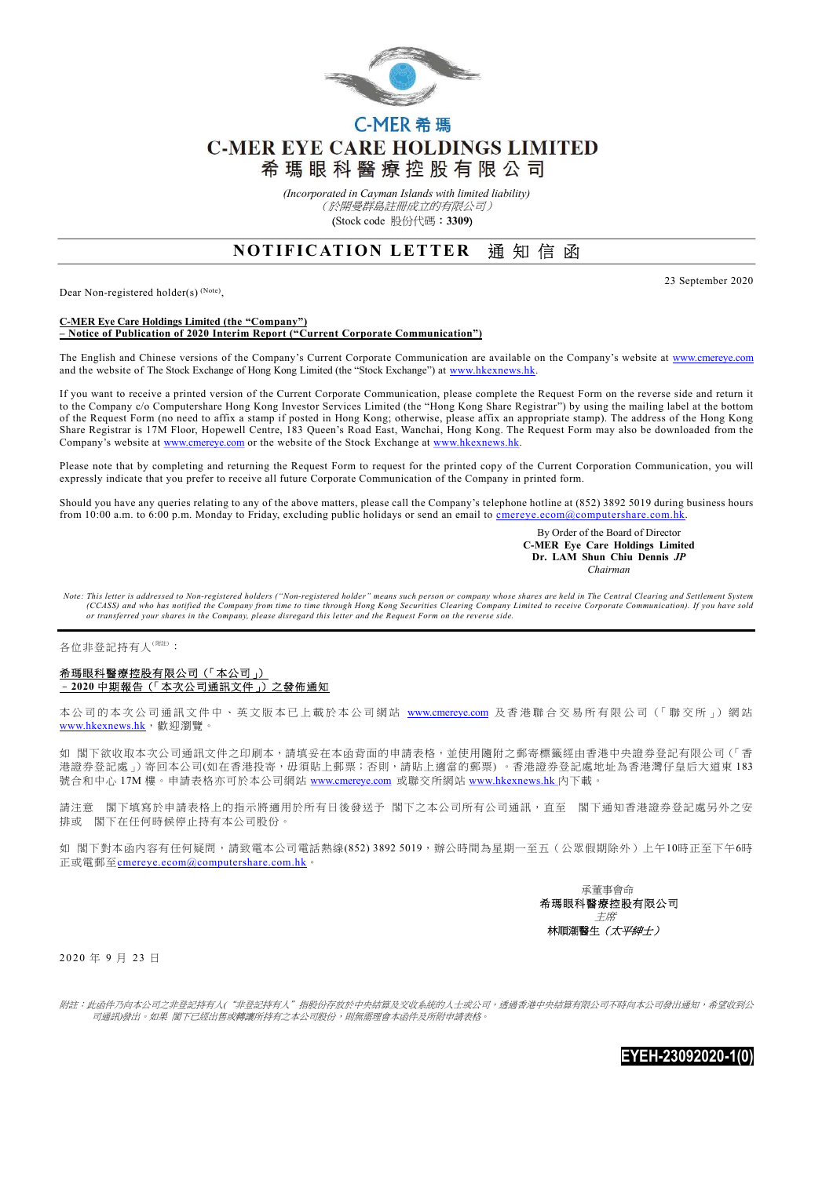

# C-MER 希瑪 **C-MER EYE CARE HOLDINGS LIMITED** 希瑪眼科醫療控股有限公司

(Incorporated in Cayman Islands with limited liability) (於開曼群島註冊成立的有限公司) (Stock code 股份代碼:3309)

## NOTIFICATION LETTER 通知信函

Dear Non-registered holder(s)<sup>(Note)</sup>,

23 September 2020

#### C-MER Eye Care Holdings Limited (the "Company") – Notice of Publication of 2020 Interim Report ("Current Corporate Communication")

The English and Chinese versions of the Company's Current Corporate Communication are available on the Company's website at www.cmereye.com and the website of The Stock Exchange of Hong Kong Limited (the "Stock Exchange") at www.hkexnews.hk.

If you want to receive a printed version of the Current Corporate Communication, please complete the Request Form on the reverse side and return it to the Company c/o Computershare Hong Kong Investor Services Limited (the "Hong Kong Share Registrar") by using the mailing label at the bottom of the Request Form (no need to affix a stamp if posted in Hong Kong; otherwise, please affix an appropriate stamp). The address of the Hong Kong Share Registrar is 17M Floor, Hopewell Centre, 183 Queen's Road East, Wanchai, Hong Kong. The Request Form may also be downloaded from the Company's website at www.cmereye.com or the website of the Stock Exchange at www.hkexnews.hk.

Please note that by completing and returning the Request Form to request for the printed copy of the Current Corporation Communication, you will expressly indicate that you prefer to receive all future Corporate Communication of the Company in printed form.

Should you have any queries relating to any of the above matters, please call the Company's telephone hotline at (852) 3892 5019 during business hours from 10:00 a.m. to 6:00 p.m. Monday to Friday, excluding public holidays or send an email to cmereye.ecom@computershare.com.hk.

> By Order of the Board of Director C-MER Eye Care Holdings Limited Dr. LAM Shun Chiu Dennis JP Chairman

Note: This letter is addressed to Non-registered holders ("Non-registered holder" means such person or company whose shares are held in The Central Clearing and Settlement System (CCASS) and who has notified the Company from time to time through Hong Kong Securities Clearing Company Limited to receive Corporate Communication). If you have sold<br>or transferred your shares in the Company, please disre

#### 各位非登記持有人<sup>(附注)</sup>:

### 希瑪眼科醫療控股有限公司(「本公司」) –2020 中期報告(「本次公司通訊文件」)之發佈通知

本公司的本次公司通訊文件中、英文版本已上載於本公司網站 www.cmereye.com 及香港聯合交易所有限公司(「聯交所」) 網站 www.hkexnews.hk, 歡迎瀏覽。

如 閣下欲收取本次公司通訊文件之印刷本,請填妥在本函背面的申請表格,並使用隨附之郵寄標籤經由香港中央證券登記有限公司 (「香 港證券登記處」)寄回本公司(如在香港投寄,毋須貼上郵票;否則,請貼上適當的郵票)。香港證券登記處地址為香港灣仔皇后大道東183 號合和中心 17M 樓。申請表格亦可於本公司網站 www.cmereye.com 或聯交所網站 www.hkexnews.hk 內下載。

請注意 閣下填寫於申請表格上的指示將適用於所有日後發送予 閣下之本公司所有公司通訊,直至 閣下通知香港證券登記處另外之安 排或 閣下在任何時候停止持有本公司股份。

如 閣下對本函內容有任何疑問,請致電本公司電話熱線(852) 3892 5019,辦公時間為星期一至五(公眾假期除外)上午10時正至下午6時 正或電郵至cmereye.ecom@computershare.com.hk。



2 0 20 年 9 月 23 日

附註:此函件乃向本公司之非登記持有人("非登記持有人"指股份存放於中央結算及交收系統的人士或公司,透過香港中央結算有限公司不時向本公司發出通知,希望收到公 司通訊)發出。如果 閣下已經出售或轉讓所持有之本公司股份,則無需理會本函件及所附申請表格。